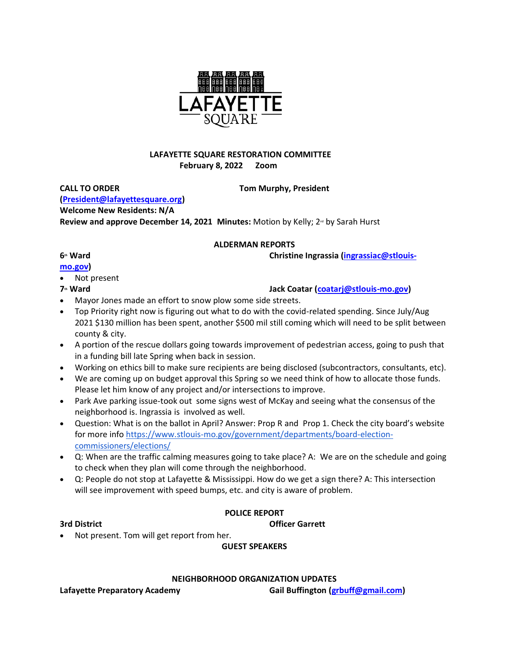

# **LAFAYETTE SQUARE RESTORATION COMMITTEE February 8, 2022 Zoom**

**CALL TO ORDER Tom Murphy, President [\(President@lafayettesquare.org\)](mailto:President@lafayettesquare.org) Welcome New Residents: N/A Review and approve December 14, 2021 Minutes: Motion by Kelly; 2<sup>nd</sup> by Sarah Hurst** 

### **ALDERMAN REPORTS**

### **6**<sup>**th**</sup> **Ward** Christine Ingrassia *[\(ingrassiac@stlouis-](mailto:ingrassiac@stlouis-mo.gov)*

### **[mo.gov\)](mailto:ingrassiac@stlouis-mo.gov)**

- Not present
- 
- **7th Ward Jack Coatar [\(coatarj@stlouis-mo.gov\)](mailto:coatarj@stlouis-mo.gov)**
- Mayor Jones made an effort to snow plow some side streets.
- Top Priority right now is figuring out what to do with the covid-related spending. Since July/Aug 2021 \$130 million has been spent, another \$500 mil still coming which will need to be split between county & city.
- A portion of the rescue dollars going towards improvement of pedestrian access, going to push that in a funding bill late Spring when back in session.
- Working on ethics bill to make sure recipients are being disclosed (subcontractors, consultants, etc).
- We are coming up on budget approval this Spring so we need think of how to allocate those funds. Please let him know of any project and/or intersections to improve.
- Park Ave parking issue-took out some signs west of McKay and seeing what the consensus of the neighborhood is. Ingrassia is involved as well.
- Question: What is on the ballot in April? Answer: Prop R and Prop 1. Check the city board's website for more info [https://www.stlouis-mo.gov/government/departments/board-election](https://www.stlouis-mo.gov/government/departments/board-election-commissioners/elections/)[commissioners/elections/](https://www.stlouis-mo.gov/government/departments/board-election-commissioners/elections/)
- Q: When are the traffic calming measures going to take place? A: We are on the schedule and going to check when they plan will come through the neighborhood.
- Q: People do not stop at Lafayette & Mississippi. How do we get a sign there? A: This intersection will see improvement with speed bumps, etc. and city is aware of problem.

# **POLICE REPORT**

**3rd District Officer Garrett**

• Not present. Tom will get report from her.

# **GUEST SPEAKERS**

# **NEIGHBORHOOD ORGANIZATION UPDATES**

Lafayette Preparatory Academy **Gail Buffington** *[\(grbuff@gmail.com\)](mailto:grbuff@gmail.com)* **Gail Buffington**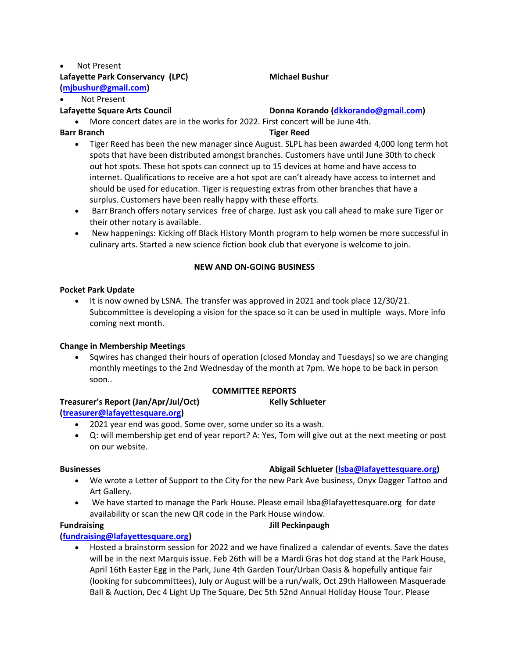### Not Present Lafayette Park Conservancy (LPC) Michael Bushur **[\(mjbushur@gmail.com\)](mailto:mjbushur@gmail.com)**

# Not Present

# **Lafayette Square Arts Council Donna Korando [\(dkkorando@gmail.com\)](mailto:dkkorando@gmail.com)**

• More concert dates are in the works for 2022. First concert will be June 4th.

**Barr Branch Tiger Reed**

- Tiger Reed has been the new manager since August. SLPL has been awarded 4,000 long term hot spots that have been distributed amongst branches. Customers have until June 30th to check out hot spots. These hot spots can connect up to 15 devices at home and have access to internet. Qualifications to receive are a hot spot are can't already have access to internet and should be used for education. Tiger is requesting extras from other branches that have a surplus. Customers have been really happy with these efforts.
- Barr Branch offers notary services free of charge. Just ask you call ahead to make sure Tiger or their other notary is available.
- New happenings: Kicking off Black History Month program to help women be more successful in culinary arts. Started a new science fiction book club that everyone is welcome to join.

# **NEW AND ON-GOING BUSINESS**

### **Pocket Park Update**

• It is now owned by LSNA. The transfer was approved in 2021 and took place 12/30/21. Subcommittee is developing a vision for the space so it can be used in multiple ways. More info coming next month.

# **Change in Membership Meetings**

• Sqwires has changed their hours of operation (closed Monday and Tuesdays) so we are changing monthly meetings to the 2nd Wednesday of the month at 7pm. We hope to be back in person soon..

# **COMMITTEE REPORTS**

# **Treasurer's Report (Jan/Apr/Jul/Oct) Kelly Schlueter**

# **[\(treasurer@lafayettesquare.org\)](mailto:treasurer@lafayettesquare.org)**

- 2021 year end was good. Some over, some under so its a wash.
- Q: will membership get end of year report? A: Yes, Tom will give out at the next meeting or post on our website.

- We wrote a Letter of Support to the City for the new Park Ave business, Onyx Dagger Tattoo and Art Gallery.
- We have started to manage the Park House. Please email lsba@lafayettesquare.org for date availability or scan the new QR code in the Park House window.

# **Fundraising Jill Peckinpaugh**

# **[\(fundraising@lafayettesquare.org\)](mailto:fundraising@lafayettesquare.org)**

• Hosted a brainstorm session for 2022 and we have finalized a calendar of events. Save the dates will be in the next Marquis issue. Feb 26th will be a Mardi Gras hot dog stand at the Park House, April 16th Easter Egg in the Park, June 4th Garden Tour/Urban Oasis & hopefully antique fair (looking for subcommittees), July or August will be a run/walk, Oct 29th Halloween Masquerade Ball & Auction, Dec 4 Light Up The Square, Dec 5th 52nd Annual Holiday House Tour. Please

# **Businesses Abigail Schlueter [\(lsba@lafayettesquare.org\)](mailto:lsba@lafayettesquare.org)**